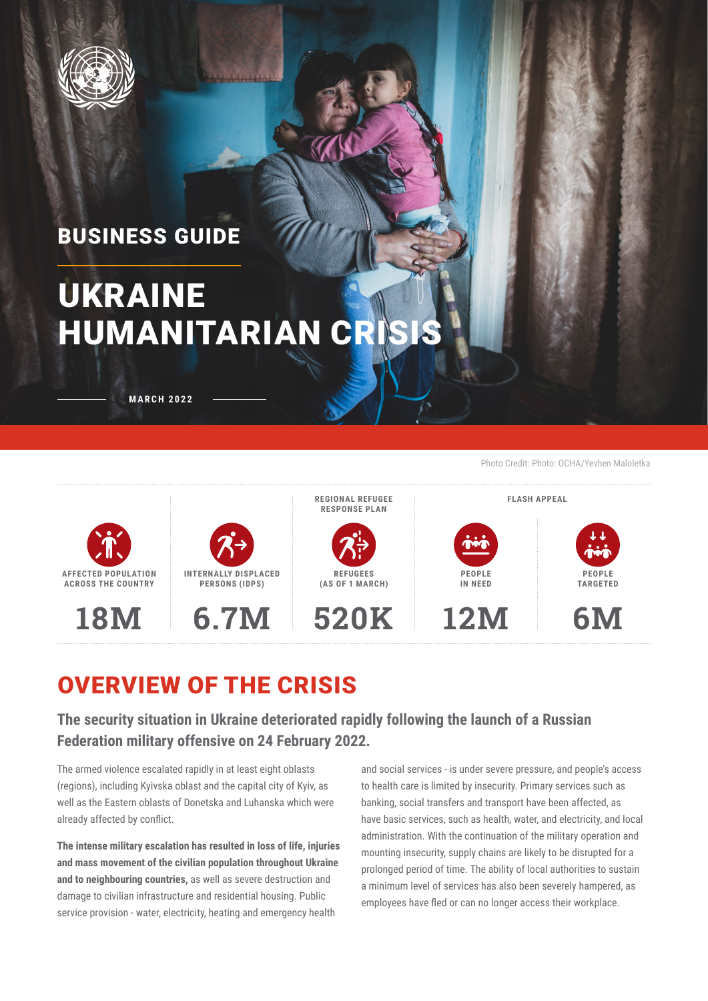

### BUSINESS GUIDE

# UKRAINE HUMANITARIAN CRIS

**MARCH 2022**

Photo Credit: Photo: OCHA/Yevhen Maloletka



### OVERVIEW OF THE CRISIS

**The security situation in Ukraine deteriorated rapidly following the launch of a Russian Federation military offensive on 24 February 2022.**

The armed violence escalated rapidly in at least eight oblasts (regions), including Kyivska oblast and the capital city of Kyiv, as well as the Eastern oblasts of Donetska and Luhanska which were already affected by conflict.

**The intense military escalation has resulted in loss of life, injuries and mass movement of the civilian population throughout Ukraine and to neighbouring countries,** as well as severe destruction and damage to civilian infrastructure and residential housing. Public service provision - water, electricity, heating and emergency health

and social services - is under severe pressure, and people's access to health care is limited by insecurity. Primary services such as banking, social transfers and transport have been affected, as have basic services, such as health, water, and electricity, and local administration. With the continuation of the military operation and mounting insecurity, supply chains are likely to be disrupted for a prolonged period of time. The ability of local authorities to sustain a minimum level of services has also been severely hampered, as employees have fled or can no longer access their workplace.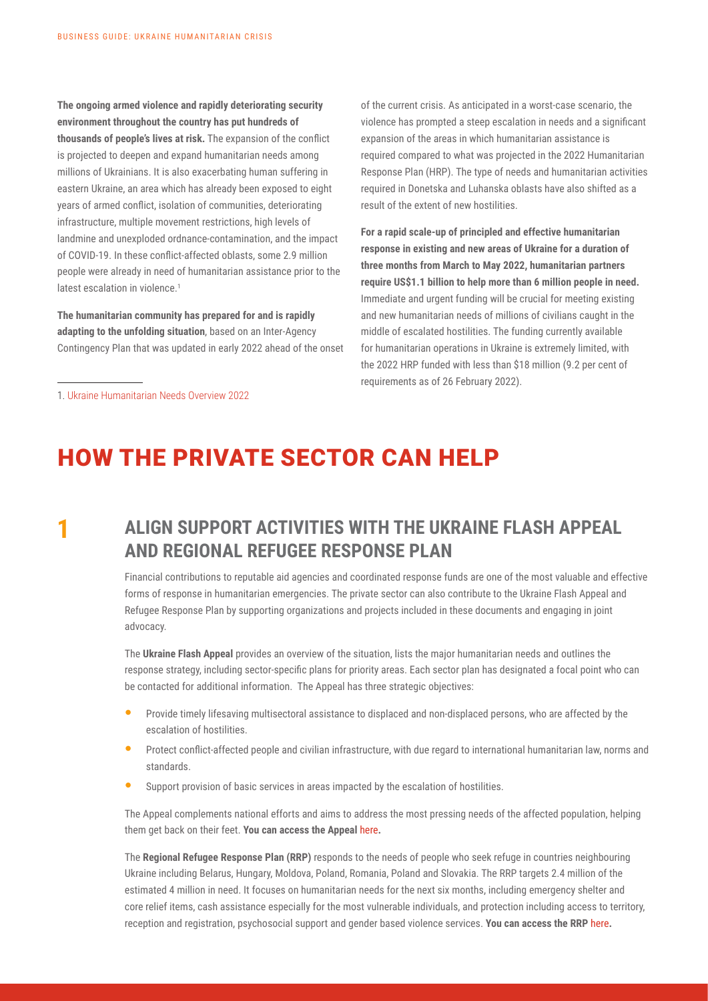**The ongoing armed violence and rapidly deteriorating security environment throughout the country has put hundreds of thousands of people's lives at risk.** The expansion of the conflict is projected to deepen and expand humanitarian needs among millions of Ukrainians. It is also exacerbating human suffering in eastern Ukraine, an area which has already been exposed to eight years of armed conflict, isolation of communities, deteriorating infrastructure, multiple movement restrictions, high levels of landmine and unexploded ordnance-contamination, and the impact of COVID-19. In these conflict-affected oblasts, some 2.9 million people were already in need of humanitarian assistance prior to the latest escalation in violence.<sup>1</sup>

**The humanitarian community has prepared for and is rapidly adapting to the unfolding situation**, based on an Inter-Agency Contingency Plan that was updated in early 2022 ahead of the onset of the current crisis. As anticipated in a worst-case scenario, the violence has prompted a steep escalation in needs and a significant expansion of the areas in which humanitarian assistance is required compared to what was projected in the 2022 Humanitarian Response Plan (HRP). The type of needs and humanitarian activities required in Donetska and Luhanska oblasts have also shifted as a result of the extent of new hostilities.

**For a rapid scale-up of principled and effective humanitarian response in existing and new areas of Ukraine for a duration of three months from March to May 2022, humanitarian partners require US\$1.1 billion to help more than 6 million people in need.**  Immediate and urgent funding will be crucial for meeting existing and new humanitarian needs of millions of civilians caught in the middle of escalated hostilities. The funding currently available for humanitarian operations in Ukraine is extremely limited, with the 2022 HRP funded with less than \$18 million (9.2 per cent of requirements as of 26 February 2022).

1. [Ukraine Humanitarian Needs Overview 2022](https://reliefweb.int/report/ukraine/2022-humanitarian-needs-and-response-overview-ukraine-30-november-2021-enruuk)

### HOW THE PRIVATE SECTOR CAN HELP

#### **1 ALIGN SUPPORT ACTIVITIES WITH THE UKRAINE FLASH APPEAL AND REGIONAL REFUGEE RESPONSE PLAN**

Financial contributions to reputable aid agencies and coordinated response funds are one of the most valuable and effective forms of response in humanitarian emergencies. The private sector can also contribute to the Ukraine Flash Appeal and Refugee Response Plan by supporting organizations and projects included in these documents and engaging in joint advocacy.

The **Ukraine Flash Appeal** provides an overview of the situation, lists the major humanitarian needs and outlines the response strategy, including sector-specific plans for priority areas. Each sector plan has designated a focal point who can be contacted for additional information. The Appeal has three strategic objectives:

- Provide timely lifesaving multisectoral assistance to displaced and non-displaced persons, who are affected by the escalation of hostilities.
- Protect conflict-affected people and civilian infrastructure, with due regard to international humanitarian law, norms and standards.
- Support provision of basic services in areas impacted by the escalation of hostilities.

The Appeal complements national efforts and aims to address the most pressing needs of the affected population, helping them get back on their feet. **You can access the Appeal** [here](https://reliefweb.int/report/ukraine/ukraine-flash-appeal-humanitarian-programme-cycle-march-may-2022)**.**

The **Regional Refugee Response Plan (RRP)** responds to the needs of people who seek refuge in countries neighbouring Ukraine including Belarus, Hungary, Moldova, Poland, Romania, Poland and Slovakia. The RRP targets 2.4 million of the estimated 4 million in need. It focuses on humanitarian needs for the next six months, including emergency shelter and core relief items, cash assistance especially for the most vulnerable individuals, and protection including access to territory, reception and registration, psychosocial support and gender based violence services. **You can access the RRP** [here](https://reporting.unhcr.org/ukraine-situation-rrp-summary)**.**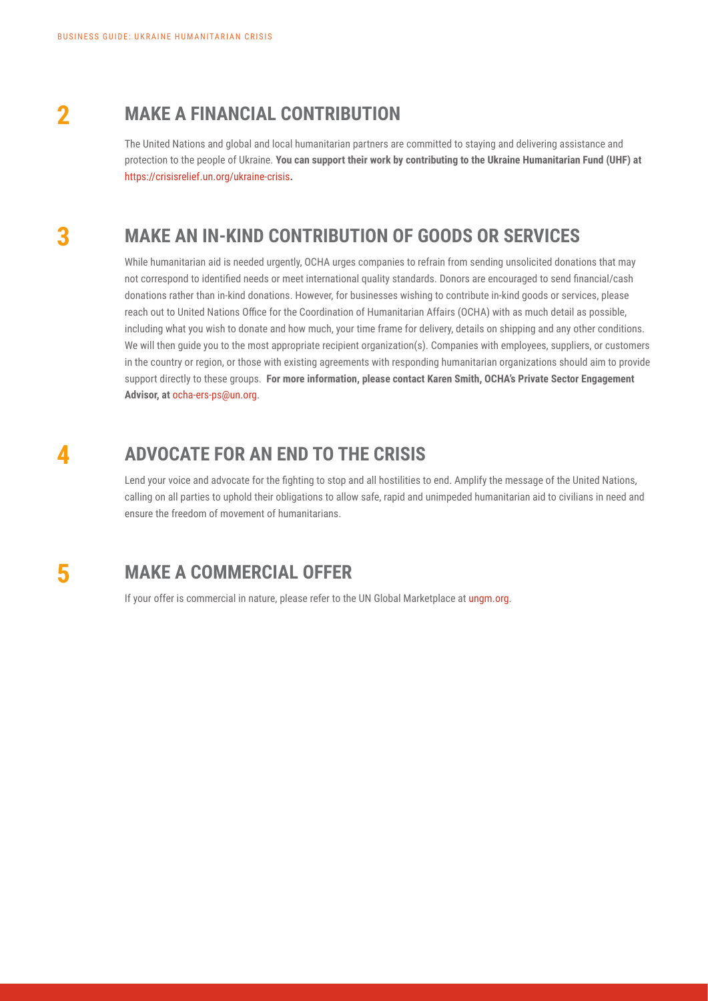### **2 MAKE A FINANCIAL CONTRIBUTION**

The United Nations and global and local humanitarian partners are committed to staying and delivering assistance and protection to the people of Ukraine. **You can support their work by contributing to the Ukraine Humanitarian Fund (UHF) at**  <https://crisisrelief.un.org/ukraine-crisis>**.**

#### **3 MAKE AN IN-KIND CONTRIBUTION OF GOODS OR SERVICES**

While humanitarian aid is needed urgently, OCHA urges companies to refrain from sending unsolicited donations that may not correspond to identified needs or meet international quality standards. Donors are encouraged to send financial/cash donations rather than in-kind donations. However, for businesses wishing to contribute in-kind goods or services, please reach out to United Nations Office for the Coordination of Humanitarian Affairs (OCHA) with as much detail as possible, including what you wish to donate and how much, your time frame for delivery, details on shipping and any other conditions. We will then guide you to the most appropriate recipient organization(s). Companies with employees, suppliers, or customers in the country or region, or those with existing agreements with responding humanitarian organizations should aim to provide support directly to these groups. **For more information, please contact Karen Smith, OCHA's Private Sector Engagement Advisor, at** ocha-ers-ps@un.org.

#### **4 ADVOCATE FOR AN END TO THE CRISIS**

Lend your voice and advocate for the fighting to stop and all hostilities to end. Amplify the message of the United Nations, calling on all parties to uphold their obligations to allow safe, rapid and unimpeded humanitarian aid to civilians in need and ensure the freedom of movement of humanitarians.

#### **5 MAKE A COMMERCIAL OFFER**

If your offer is commercial in nature, please refer to the UN Global Marketplace at [ungm.org](https://www.ungm.org/).